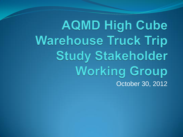**AQMD High Cube Warehouse Truck Trip Study Stakeholder Working Group** October 30, 2012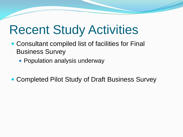### Recent Study Activities

- Consultant compiled list of facilities for Final Business Survey
	- Population analysis underway
- Completed Pilot Study of Draft Business Survey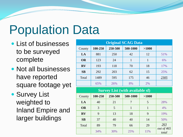## Population Data

- List of businesses to be surveyed complete
- Not all businesses have reported square footage yet
- Survey List weighted to Inland Empire and larger buildings

| <b>Original SCAG Data</b> |         |         |          |       |      |  |  |  |
|---------------------------|---------|---------|----------|-------|------|--|--|--|
| County                    | 100-250 | 250-500 | 500-1000 | >1000 |      |  |  |  |
| LA                        | 881     | 250     | 42       | 12    | 51%  |  |  |  |
| <b>OR</b>                 | 123     | 24      | 1        | 1     | 6%   |  |  |  |
| <b>RV</b>                 | 193     | 118     | 70       | 18    | 17%  |  |  |  |
| SB                        | 292     | 203     | 62       | 15    | 25%  |  |  |  |
| Total                     | 1489    | 595     | 175      | 46    | 2305 |  |  |  |
|                           | 65%     | 26%     | 8%       | 2%    |      |  |  |  |

| <b>Survey List (with available sf)</b> |         |         |          |       |                     |  |  |  |
|----------------------------------------|---------|---------|----------|-------|---------------------|--|--|--|
| County                                 | 100-250 | 250-500 | 500-1000 | >1000 |                     |  |  |  |
| LA                                     | 40      | 21      |          | 5     | 28%                 |  |  |  |
| <b>OR</b>                              | 3       | 5       |          | 1     | 4%                  |  |  |  |
| <b>RV</b>                              | 9       | 13      | 18       | 9     | 19%                 |  |  |  |
| SB                                     | 37      | 40      | 40       | 14    | 50%                 |  |  |  |
| Total                                  | 89      | 79      | 66       | 29    | 263                 |  |  |  |
|                                        | 34%     | 30%     | 25%      | 11%   | out of 465<br>total |  |  |  |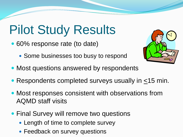# Pilot Study Results

- 60% response rate (to date)
	- Some businesses too busy to respond
- Most questions answered by respondents
- Respondents completed surveys usually in <15 min.
- Most responses consistent with observations from AQMD staff visits
- Final Survey will remove two questions
	- Length of time to complete survey
	- Feedback on survey questions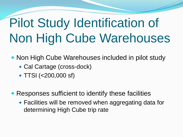# Pilot Study Identification of Non High Cube Warehouses

• Non High Cube Warehouses included in pilot study

- Cal Cartage (cross-dock)
- TTSI (<200,000 sf)
- Responses sufficient to identify these facilities
	- Facilities will be removed when aggregating data for determining High Cube trip rate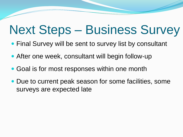#### Next Steps – Business Survey

- Final Survey will be sent to survey list by consultant
- After one week, consultant will begin follow-up
- Goal is for most responses within one month
- Due to current peak season for some facilities, some surveys are expected late